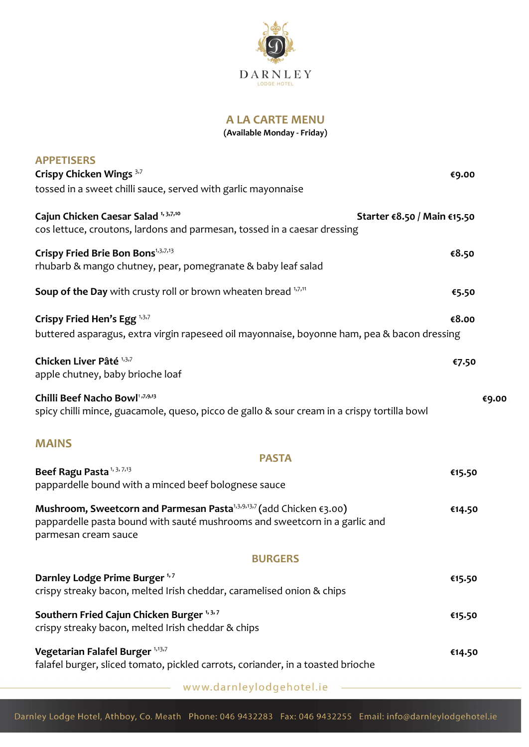

**A LA CARTE MENU**

**(Available Monday - Friday)**

| <b>APPETISERS</b><br>Crispy Chicken Wings 3,7                                                                                                                                                    |        |       |
|--------------------------------------------------------------------------------------------------------------------------------------------------------------------------------------------------|--------|-------|
| tossed in a sweet chilli sauce, served with garlic mayonnaise                                                                                                                                    | €9.00  |       |
| Cajun Chicken Caesar Salad 1, 3,7,10<br>Starter €8.50 / Main €15.50<br>cos lettuce, croutons, lardons and parmesan, tossed in a caesar dressing                                                  |        |       |
| Crispy Fried Brie Bon Bons <sup>1,3,7,13</sup><br>rhubarb & mango chutney, pear, pomegranate & baby leaf salad                                                                                   | €8.50  |       |
| <b>Soup of the Day</b> with crusty roll or brown wheaten bread 1,7,11                                                                                                                            | €5.50  |       |
| Crispy Fried Hen's Egg <sup>1,3,7</sup><br>buttered asparagus, extra virgin rapeseed oil mayonnaise, boyonne ham, pea & bacon dressing                                                           | €8.00  |       |
| Chicken Liver Pâté <sup>1,3,7</sup><br>apple chutney, baby brioche loaf                                                                                                                          | €7.50  |       |
| Chilli Beef Nacho Bowl1,7,9,13<br>spicy chilli mince, guacamole, queso, picco de gallo & sour cream in a crispy tortilla bowl                                                                    |        | €9.00 |
| <b>MAINS</b>                                                                                                                                                                                     |        |       |
| <b>PASTA</b>                                                                                                                                                                                     |        |       |
| Beef Ragu Pasta <sup>1, 3, 7,13</sup><br>pappardelle bound with a minced beef bolognese sauce                                                                                                    | €15.50 |       |
| Mushroom, Sweetcorn and Parmesan Pasta <sup>1,3,9,13,7</sup> (add Chicken $\epsilon$ 3.00)<br>pappardelle pasta bound with sauté mushrooms and sweetcorn in a garlic and<br>parmesan cream sauce | €14.50 |       |
| <b>BURGERS</b>                                                                                                                                                                                   |        |       |
| Darnley Lodge Prime Burger <sup>1,7</sup><br>crispy streaky bacon, melted Irish cheddar, caramelised onion & chips                                                                               | €15.50 |       |
| Southern Fried Cajun Chicken Burger <sup>1, 3, 7</sup><br>crispy streaky bacon, melted Irish cheddar & chips                                                                                     | €15.50 |       |
| Vegetarian Falafel Burger 1,13,7<br>falafel burger, sliced tomato, pickled carrots, coriander, in a toasted brioche                                                                              | €14.50 |       |
|                                                                                                                                                                                                  |        |       |

www.darnleylodgehotel.ie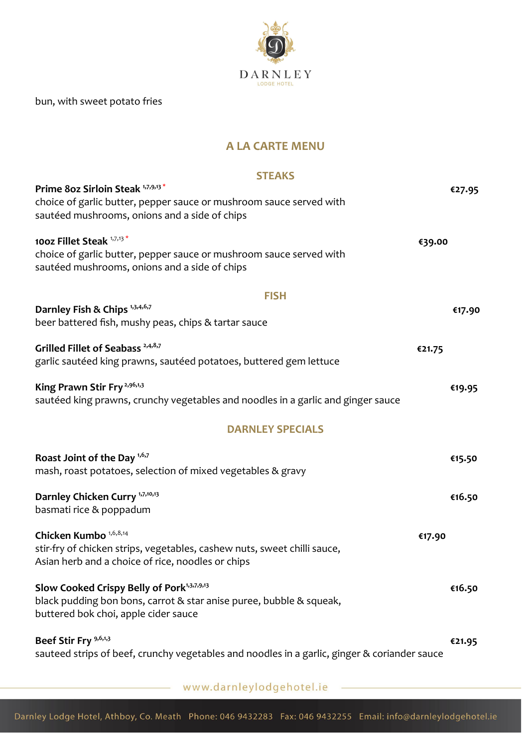

bun, with sweet potato fries

# **A LA CARTE MENU**

#### **STEAKS**

| Prime 80z Sirloin Steak 1,7,9,13*<br>choice of garlic butter, pepper sauce or mushroom sauce served with<br>sautéed mushrooms, onions and a side of chips                    | €27.95 |
|------------------------------------------------------------------------------------------------------------------------------------------------------------------------------|--------|
| 100z Fillet Steak 1,7,13*<br>€39.00<br>choice of garlic butter, pepper sauce or mushroom sauce served with<br>sautéed mushrooms, onions and a side of chips                  |        |
| <b>FISH</b><br>Darnley Fish & Chips 1,3,4,6,7<br>beer battered fish, mushy peas, chips & tartar sauce                                                                        | €17.90 |
| Grilled Fillet of Seabass <sup>2,4,8,7</sup><br>€21.75<br>garlic sautéed king prawns, sautéed potatoes, buttered gem lettuce                                                 |        |
| King Prawn Stir Fry <sup>2,96,1,3</sup><br>sautéed king prawns, crunchy vegetables and noodles in a garlic and ginger sauce                                                  | €19.95 |
| <b>DARNLEY SPECIALS</b>                                                                                                                                                      |        |
| Roast Joint of the Day 1,6,7<br>mash, roast potatoes, selection of mixed vegetables & gravy                                                                                  | €15.50 |
| Darnley Chicken Curry <sup>1,7,10,13</sup><br>basmati rice & poppadum                                                                                                        | €16.50 |
| Chicken Kumbo <sup>1,6,8,14</sup><br>€17.90<br>stir-fry of chicken strips, vegetables, cashew nuts, sweet chilli sauce,<br>Asian herb and a choice of rice, noodles or chips |        |
| Slow Cooked Crispy Belly of Pork <sup>1,3,7,9,13</sup><br>black pudding bon bons, carrot & star anise puree, bubble & squeak,<br>buttered bok choi, apple cider sauce        | €16.50 |
| Beef Stir Fry 9,6,1,3<br>sauteed strips of beef, crunchy vegetables and noodles in a garlic, ginger & coriander sauce                                                        | €21.95 |

www.darnleylodgehotel.ie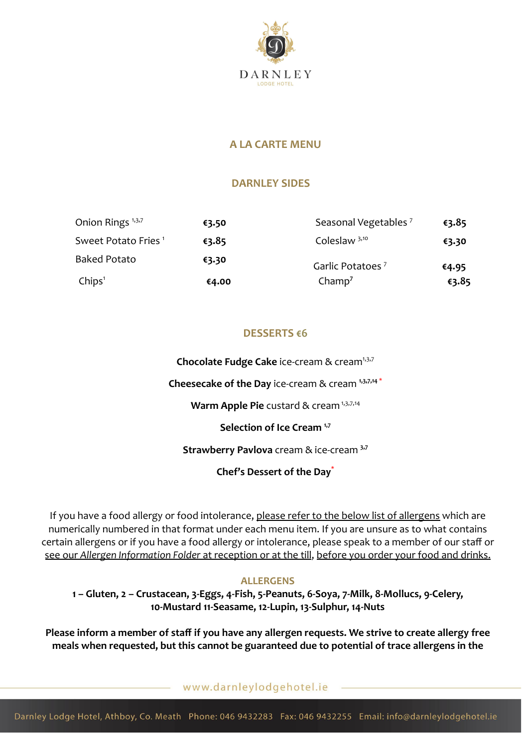

### **A LA CARTE MENU**

### **DARNLEY SIDES**

| Onion Rings <sup>1,3,7</sup>    | €3.50 | Seasonal Vegetables <sup>7</sup> | €3.85 |
|---------------------------------|-------|----------------------------------|-------|
| Sweet Potato Fries <sup>1</sup> | €3.85 | Coleslaw $3,10$                  | €3.30 |
| <b>Baked Potato</b>             | €3.30 | Garlic Potatoes <sup>7</sup>     | €4.95 |
| Chips <sup>1</sup>              | €4.00 | Champ <sup>7</sup>               | €3.85 |

# **DESSERTS €6**

**Chocolate Fudge Cake** ice-cream & cream<sup>1,3,7</sup>

**Cheesecake of the Day** ice-cream & cream **1,3,7,14** \*

**Warm Apple Pie** custard & cream<sup>1,3,7,14</sup>

**Selection of Ice Cream 1,7**

**Strawberry Pavlova** cream & ice-cream **3,7**

**Chef's Dessert of the Day\***

If you have a food allergy or food intolerance, please refer to the below list of allergens which are numerically numbered in that format under each menu item. If you are unsure as to what contains certain allergens or if you have a food allergy or intolerance, please speak to a member of our staff or see our *Allergen Information Folder* at reception or at the till, before you order your food and drinks.

#### **ALLERGENS**

**1 – Gluten, 2 – Crustacean, 3-Eggs, 4-Fish, 5-Peanuts, 6-Soya, 7-Milk, 8-Mollucs, 9-Celery, 10-Mustard 11-Seasame, 12-Lupin, 13-Sulphur, 14-Nuts**

**Please inform a member of staff if you have any allergen requests. We strive to create allergy free meals when requested, but this cannot be guaranteed due to potential of trace allergens in the**

www.darnleylodgehotel.ie